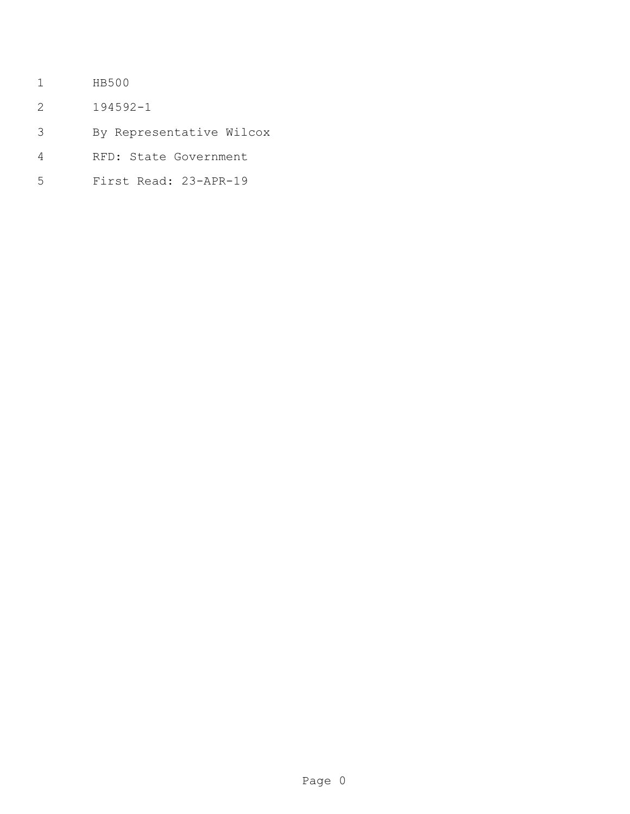- HB500
- 194592-1
- By Representative Wilcox
- RFD: State Government
- First Read: 23-APR-19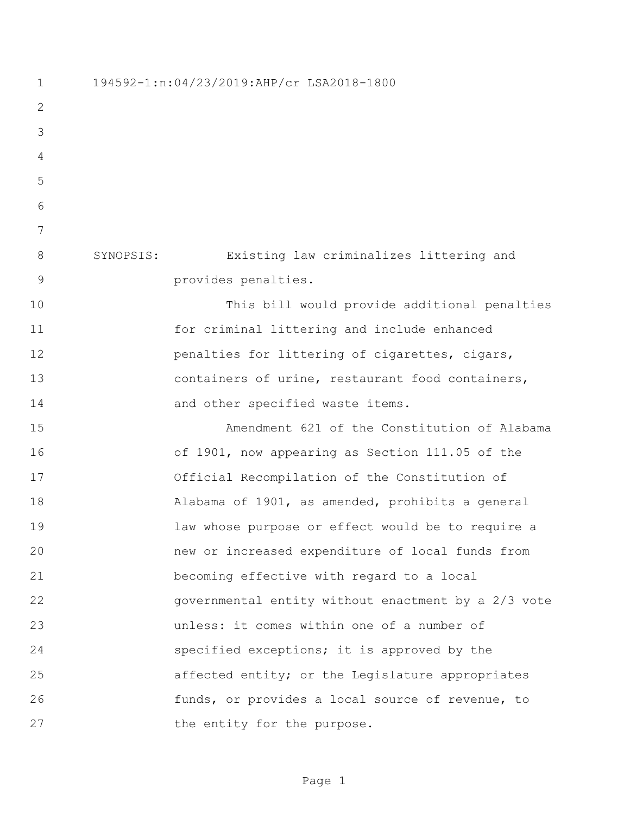194592-1:n:04/23/2019:AHP/cr LSA2018-1800 SYNOPSIS: Existing law criminalizes littering and provides penalties. This bill would provide additional penalties for criminal littering and include enhanced **penalties for littering of cigarettes, cigars,**  containers of urine, restaurant food containers, 14 and other specified waste items. Amendment 621 of the Constitution of Alabama of 1901, now appearing as Section 111.05 of the Official Recompilation of the Constitution of Alabama of 1901, as amended, prohibits a general law whose purpose or effect would be to require a new or increased expenditure of local funds from becoming effective with regard to a local governmental entity without enactment by a 2/3 vote unless: it comes within one of a number of specified exceptions; it is approved by the affected entity; or the Legislature appropriates funds, or provides a local source of revenue, to 27 the entity for the purpose.

Page 1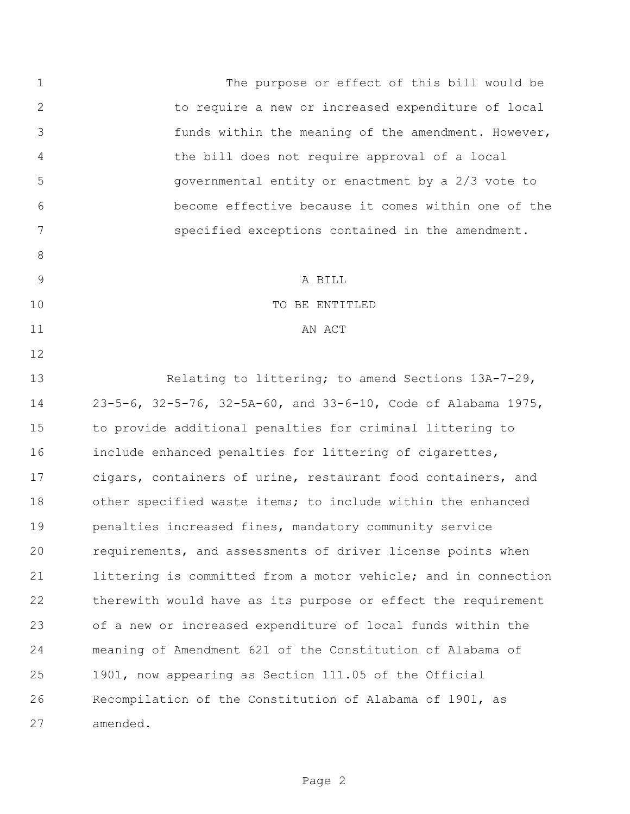1 The purpose or effect of this bill would be to require a new or increased expenditure of local funds within the meaning of the amendment. However, the bill does not require approval of a local governmental entity or enactment by a 2/3 vote to become effective because it comes within one of the specified exceptions contained in the amendment. 9 A BILL 10 TO BE ENTITLED 11 AN ACT Relating to littering; to amend Sections 13A-7-29, 23-5-6, 32-5-76, 32-5A-60, and 33-6-10, Code of Alabama 1975, to provide additional penalties for criminal littering to include enhanced penalties for littering of cigarettes, cigars, containers of urine, restaurant food containers, and other specified waste items; to include within the enhanced penalties increased fines, mandatory community service requirements, and assessments of driver license points when littering is committed from a motor vehicle; and in connection therewith would have as its purpose or effect the requirement of a new or increased expenditure of local funds within the meaning of Amendment 621 of the Constitution of Alabama of 1901, now appearing as Section 111.05 of the Official Recompilation of the Constitution of Alabama of 1901, as amended.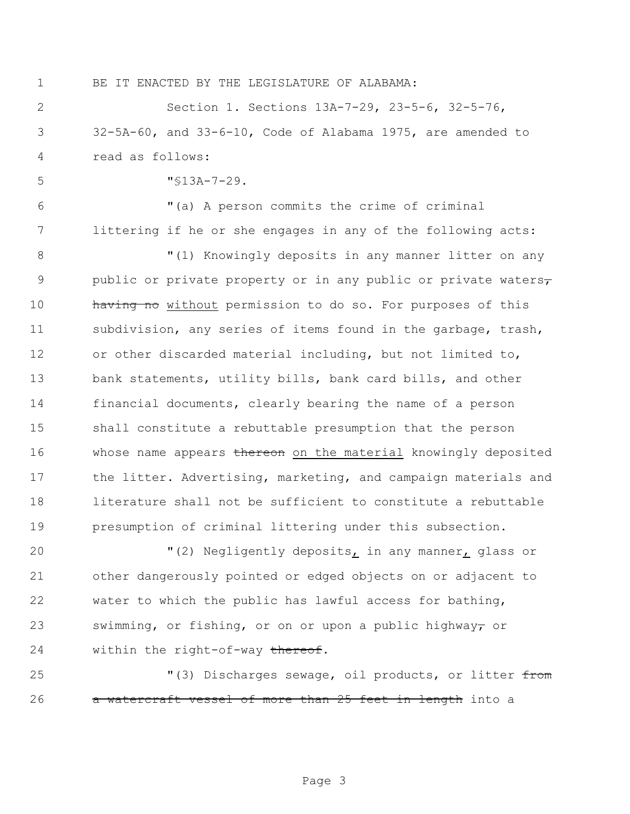BE IT ENACTED BY THE LEGISLATURE OF ALABAMA:

 Section 1. Sections 13A-7-29, 23-5-6, 32-5-76, 32-5A-60, and 33-6-10, Code of Alabama 1975, are amended to read as follows:

"§13A-7-29.

 "(a) A person commits the crime of criminal littering if he or she engages in any of the following acts:

8 "(1) Knowingly deposits in any manner litter on any 9 public or private property or in any public or private waters, 10 having no without permission to do so. For purposes of this subdivision, any series of items found in the garbage, trash, or other discarded material including, but not limited to, bank statements, utility bills, bank card bills, and other financial documents, clearly bearing the name of a person shall constitute a rebuttable presumption that the person 16 whose name appears thereon on the material knowingly deposited the litter. Advertising, marketing, and campaign materials and literature shall not be sufficient to constitute a rebuttable presumption of criminal littering under this subsection.

 "(2) Negligently deposits, in any manner, glass or other dangerously pointed or edged objects on or adjacent to water to which the public has lawful access for bathing, 23 swimming, or fishing, or on or upon a public highway<del>,</del> or 24 within the right-of-way thereof.

25 The Muller Sewage, oil products, or litter from 26 a watercraft vessel of more than 25 feet in length into a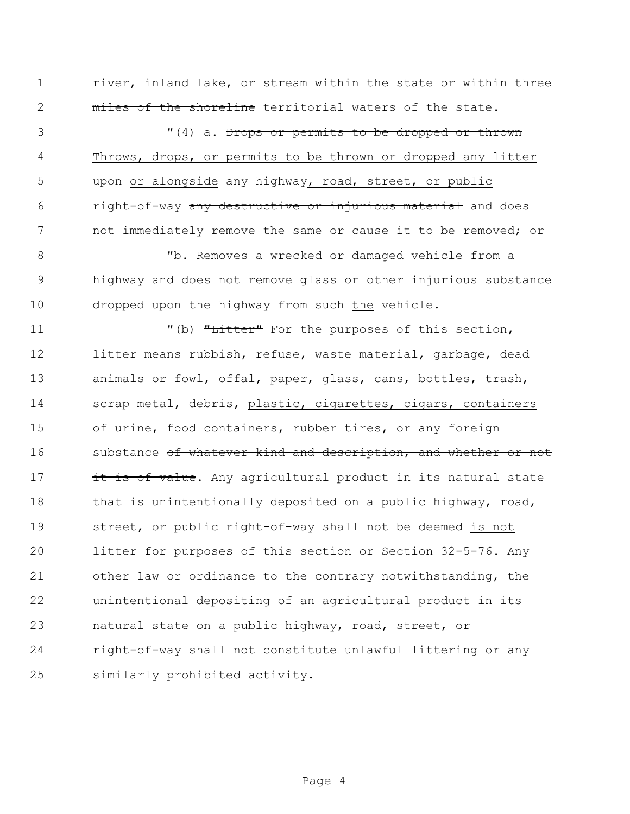1 river, inland lake, or stream within the state or within three 2 miles of the shoreline territorial waters of the state.

3 (4) a. <del>Drops or permits to be dropped or thrown</del> 4 Throws, drops, or permits to be thrown or dropped any litter 5 upon or alongside any highway, road, street, or public 6 right-of-way any destructive or injurious material and does 7 not immediately remove the same or cause it to be removed; or

8 "b. Removes a wrecked or damaged vehicle from a 9 highway and does not remove glass or other injurious substance 10 dropped upon the highway from such the vehicle.

11 The Metal Contract Tender of this section, the purposes of this section, litter means rubbish, refuse, waste material, garbage, dead animals or fowl, offal, paper, glass, cans, bottles, trash, scrap metal, debris, plastic, cigarettes, cigars, containers of urine, food containers, rubber tires, or any foreign 16 substance of whatever kind and description, and whether or not 17 it is of value. Any agricultural product in its natural state 18 that is unintentionally deposited on a public highway, road, 19 street, or public right-of-way shall not be deemed is not litter for purposes of this section or Section 32-5-76. Any other law or ordinance to the contrary notwithstanding, the unintentional depositing of an agricultural product in its natural state on a public highway, road, street, or right-of-way shall not constitute unlawful littering or any similarly prohibited activity.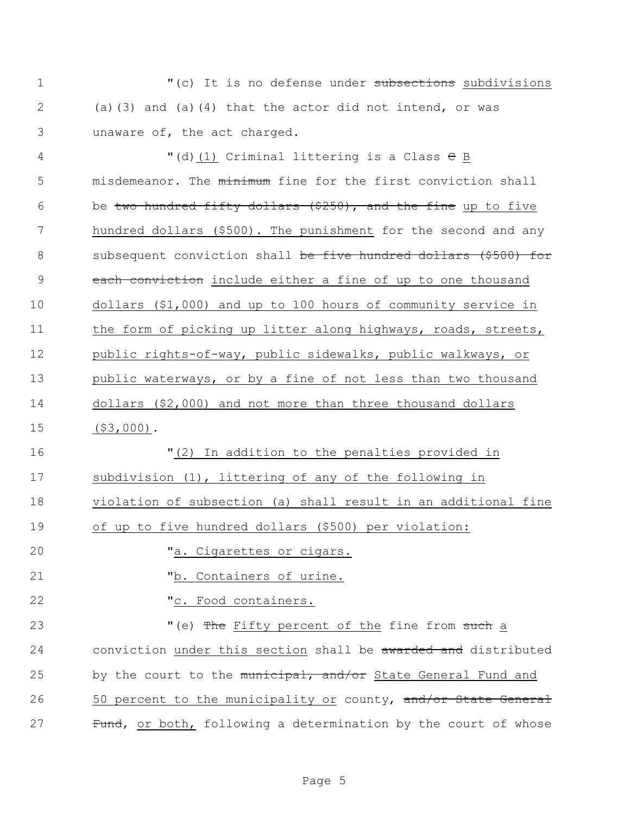1 The M<sub>I</sub> (c) It is no defense under subsections subdivisions 2 (a)(3) and (a)(4) that the actor did not intend, or was 3 unaware of, the act charged.

4 "(d)(1) Criminal littering is a Class C B 5 misdemeanor. The minimum fine for the first conviction shall 6 be two hundred fifty dollars  $($ \$250), and the fine up to five 7 hundred dollars (\$500). The punishment for the second and any 8 subsequent conviction shall be five hundred dollars (\$500) for 9 each conviction include either a fine of up to one thousand 10 dollars (\$1,000) and up to 100 hours of community service in 11 the form of picking up litter along highways, roads, streets, 12 public rights-of-way, public sidewalks, public walkways, or 13 public waterways, or by a fine of not less than two thousand 14 dollars (\$2,000) and not more than three thousand dollars 15 (\$3,000).

 "(2) In addition to the penalties provided in subdivision (1), littering of any of the following in violation of subsection (a) shall result in an additional fine of up to five hundred dollars (\$500) per violation:

20 Ta. Cigarettes or cigars.

21 "b. Containers of urine.

22 Tc. Food containers.

23 The Fifty percent of the fine from such a 24 conviction under this section shall be awarded and distributed 25 by the court to the municipal, and/or State General Fund and 26 50 percent to the municipality or county, and/or State General 27 Fund, or both, following a determination by the court of whose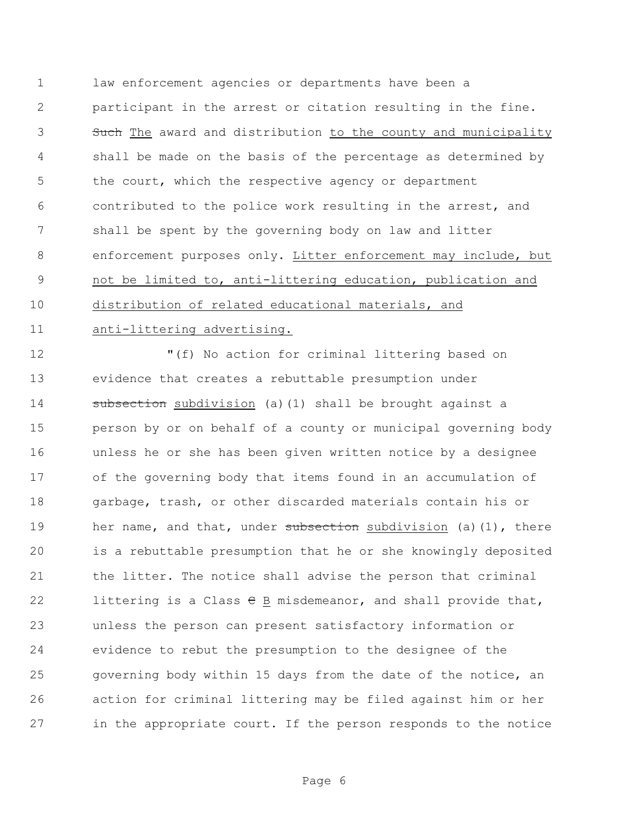law enforcement agencies or departments have been a participant in the arrest or citation resulting in the fine. 3 Such The award and distribution to the county and municipality shall be made on the basis of the percentage as determined by the court, which the respective agency or department contributed to the police work resulting in the arrest, and shall be spent by the governing body on law and litter enforcement purposes only. Litter enforcement may include, but not be limited to, anti-littering education, publication and distribution of related educational materials, and anti-littering advertising.

 "(f) No action for criminal littering based on evidence that creates a rebuttable presumption under **subsection** subdivision (a)(1) shall be brought against a person by or on behalf of a county or municipal governing body unless he or she has been given written notice by a designee of the governing body that items found in an accumulation of garbage, trash, or other discarded materials contain his or 19 her name, and that, under subsection subdivision (a)(1), there is a rebuttable presumption that he or she knowingly deposited the litter. The notice shall advise the person that criminal 22 littering is a Class  $\theta$  B misdemeanor, and shall provide that, unless the person can present satisfactory information or evidence to rebut the presumption to the designee of the governing body within 15 days from the date of the notice, an action for criminal littering may be filed against him or her in the appropriate court. If the person responds to the notice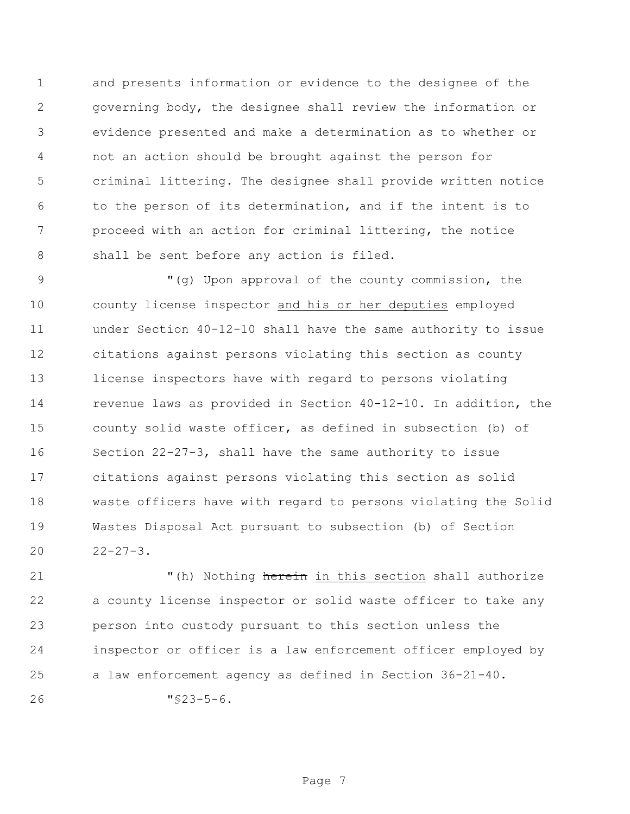and presents information or evidence to the designee of the governing body, the designee shall review the information or evidence presented and make a determination as to whether or not an action should be brought against the person for criminal littering. The designee shall provide written notice to the person of its determination, and if the intent is to proceed with an action for criminal littering, the notice shall be sent before any action is filed.

 "(g) Upon approval of the county commission, the county license inspector and his or her deputies employed under Section 40-12-10 shall have the same authority to issue citations against persons violating this section as county license inspectors have with regard to persons violating revenue laws as provided in Section 40-12-10. In addition, the county solid waste officer, as defined in subsection (b) of Section 22-27-3, shall have the same authority to issue citations against persons violating this section as solid waste officers have with regard to persons violating the Solid Wastes Disposal Act pursuant to subsection (b) of Section  $22-27-3$ .

21 The Mothing herein in this section shall authorize a county license inspector or solid waste officer to take any person into custody pursuant to this section unless the inspector or officer is a law enforcement officer employed by a law enforcement agency as defined in Section 36-21-40.

"§23-5-6.

Page 7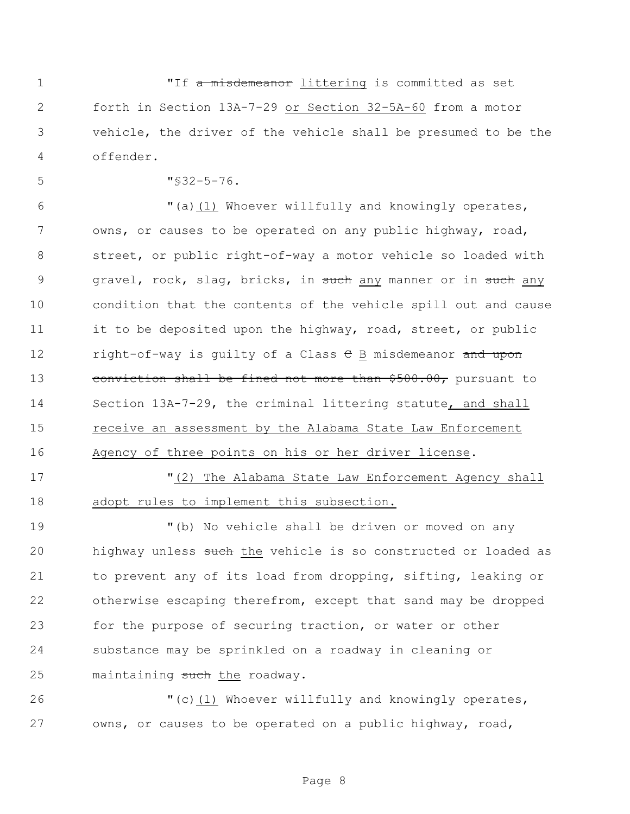1 The misdemeanor littering is committed as set forth in Section 13A-7-29 or Section 32-5A-60 from a motor vehicle, the driver of the vehicle shall be presumed to be the offender.

"§32-5-76.

6 "(a) $(1)$  Whoever willfully and knowingly operates, 7 owns, or causes to be operated on any public highway, road, street, or public right-of-way a motor vehicle so loaded with 9 gravel, rock, slag, bricks, in such any manner or in such any condition that the contents of the vehicle spill out and cause 11 it to be deposited upon the highway, road, street, or public 12 right-of-way is quilty of a Class  $\theta$  B misdemeanor and upon 13 conviction shall be fined not more than \$500.00, pursuant to Section 13A-7-29, the criminal littering statute, and shall receive an assessment by the Alabama State Law Enforcement Agency of three points on his or her driver license.

"(2) The Alabama State Law Enforcement Agency shall

adopt rules to implement this subsection.

 "(b) No vehicle shall be driven or moved on any 20 highway unless such the vehicle is so constructed or loaded as to prevent any of its load from dropping, sifting, leaking or otherwise escaping therefrom, except that sand may be dropped for the purpose of securing traction, or water or other substance may be sprinkled on a roadway in cleaning or 25 maintaining such the roadway.

 "(c)(1) Whoever willfully and knowingly operates, owns, or causes to be operated on a public highway, road,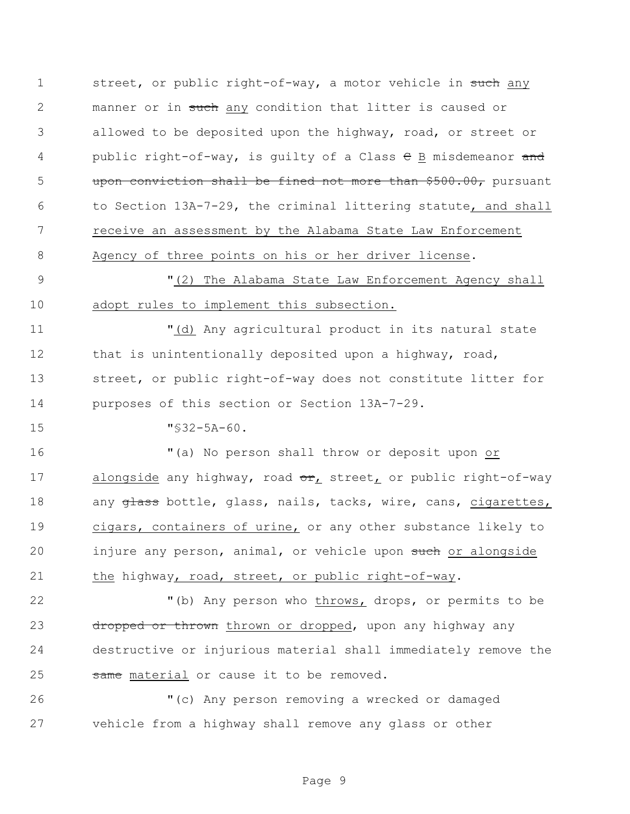1 street, or public right-of-way, a motor vehicle in such any 2 manner or in such any condition that litter is caused or 3 allowed to be deposited upon the highway, road, or street or 4 public right-of-way, is guilty of a Class  $\theta$  B misdemeanor and 5 upon conviction shall be fined not more than \$500.00, pursuant 6 to Section 13A-7-29, the criminal littering statute, and shall 7 receive an assessment by the Alabama State Law Enforcement 8 Agency of three points on his or her driver license.

9 "(2) The Alabama State Law Enforcement Agency shall 10 adopt rules to implement this subsection.

 "(d) Any agricultural product in its natural state 12 that is unintentionally deposited upon a highway, road, street, or public right-of-way does not constitute litter for purposes of this section or Section 13A-7-29.

15 "§32-5A-60.

16 "(a) No person shall throw or deposit upon or 17 alongside any highway, road or, street, or public right-of-way 18 any glass bottle, glass, nails, tacks, wire, cans, cigarettes, 19 cigars, containers of urine, or any other substance likely to 20 injure any person, animal, or vehicle upon such or alongside 21 the highway, road, street, or public right-of-way.

22 "(b) Any person who throws, drops, or permits to be 23 dropped or thrown thrown or dropped, upon any highway any 24 destructive or injurious material shall immediately remove the 25 same material or cause it to be removed.

26 "(c) Any person removing a wrecked or damaged 27 vehicle from a highway shall remove any glass or other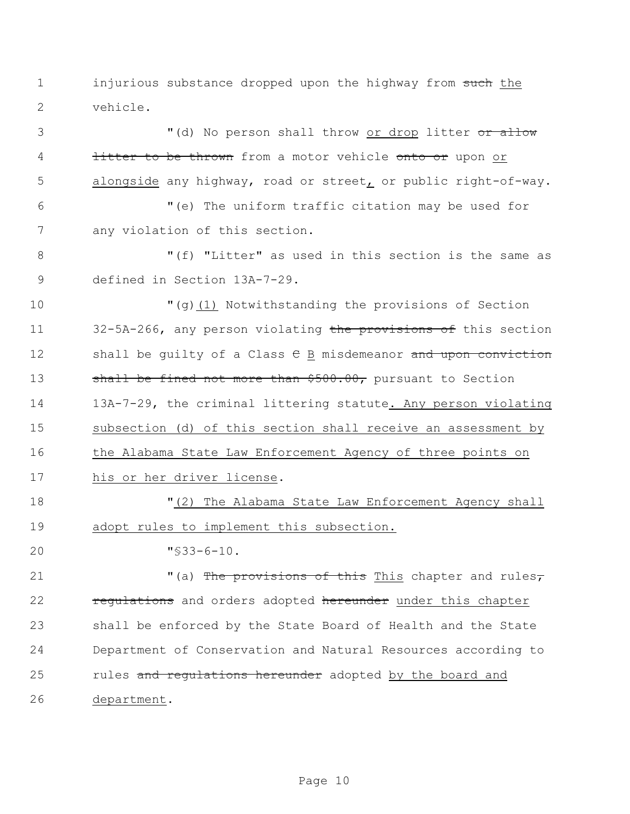1 injurious substance dropped upon the highway from such the vehicle.

3 (d) No person shall throw or drop litter or allow **litter to be thrown** from a motor vehicle onto or upon or alongside any highway, road or street, or public right-of-way.

 "(e) The uniform traffic citation may be used for any violation of this section.

8 The Multter" as used in this section is the same as defined in Section 13A-7-29.

 "(g)(1) Notwithstanding the provisions of Section 11 32-5A-266, any person violating the provisions of this section 12 shall be quilty of a Class  $\theta$  B misdemeanor and upon conviction 13 shall be fined not more than \$500.00, pursuant to Section 13A-7-29, the criminal littering statute. Any person violating subsection (d) of this section shall receive an assessment by the Alabama State Law Enforcement Agency of three points on his or her driver license.

 "(2) The Alabama State Law Enforcement Agency shall adopt rules to implement this subsection.

"§33-6-10.

 $(1)$   $(2)$   $(3)$  The provisions of this This chapter and rules, 22 regulations and orders adopted hereunder under this chapter shall be enforced by the State Board of Health and the State Department of Conservation and Natural Resources according to 25 rules and requiations hereunder adopted by the board and department.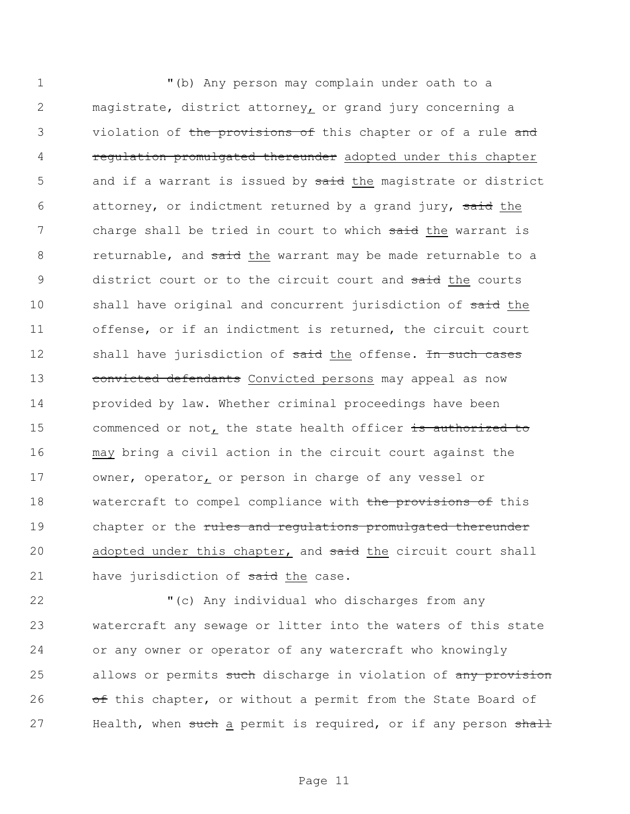1 "(b) Any person may complain under oath to a 2 magistrate, district attorney, or grand jury concerning a 3 violation of the provisions of this chapter or of a rule and 4 **regulation promulgated thereunder** adopted under this chapter 5 and if a warrant is issued by said the magistrate or district 6 attorney, or indictment returned by a grand jury, said the 7 charge shall be tried in court to which said the warrant is 8 returnable, and said the warrant may be made returnable to a 9 district court or to the circuit court and said the courts 10 shall have original and concurrent jurisdiction of said the 11 offense, or if an indictment is returned, the circuit court 12 shall have jurisdiction of said the offense. In such cases 13 convicted defendants Convicted persons may appeal as now 14 provided by law. Whether criminal proceedings have been 15 commenced or not, the state health officer is authorized to 16 may bring a civil action in the circuit court against the 17 owner, operator, or person in charge of any vessel or 18 watercraft to compel compliance with the provisions of this 19 chapter or the rules and regulations promulgated thereunder 20 adopted under this chapter, and said the circuit court shall 21 have jurisdiction of said the case.

22 "(c) Any individual who discharges from any 23 watercraft any sewage or litter into the waters of this state 24 or any owner or operator of any watercraft who knowingly 25 allows or permits such discharge in violation of any provision 26 of this chapter, or without a permit from the State Board of 27 Health, when such a permit is required, or if any person shall